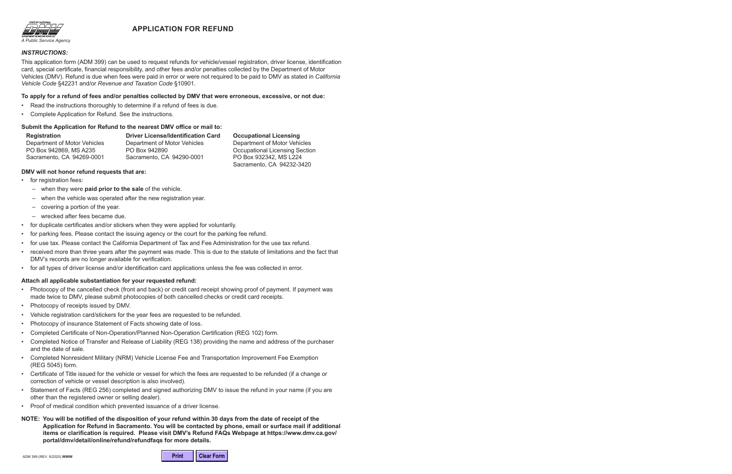# **APPLICATION FOR REFUND**



#### *INSTRUCTIONS:*

This application form (ADM 399) can be used to request refunds for vehicle/vessel registration, driver license, identification card, special certificate, financial responsibility, and other fees and/or penalties collected by the Department of Motor Vehicles (DMV). Refund is due when fees were paid in error or were not required to be paid to DMV as stated in *California Vehicle Code* §42231 and/or *Revenue and Taxation Code* §10901.

#### **To apply for a refund of fees and/or penalties collected by DMV that were erroneous, excessive, or not due:**

- Read the instructions thoroughly to determine if a refund of fees is due.
- Complete Application for Refund. See the instructions.

#### **Submit the Application for Refund to the nearest DMV office or mail to:**

**Registration** Department of Motor Vehicles PO Box 942869, MS A235 Sacramento, CA 94269-0001

**Driver License/Identification Card** Department of Motor Vehicles PO Box 942890 Sacramento, CA 94290-0001

**Occupational Licensing** 

Department of Motor Vehicles Occupational Licensing Section PO Box 932342, MS L224 Sacramento, CA 94232-3420

#### **DMV will not honor refund requests that are:**

- for registration fees:
	- when they were **paid prior to the sale** of the vehicle.
	- when the vehicle was operated after the new registration year.
	- covering a portion of the year.
	- wrecked after fees became due.
- for duplicate certificates and/or stickers when they were applied for voluntarily.
- for parking fees. Please contact the issuing agency or the court for the parking fee refund.
- for use tax. Please contact the California Department of Tax and Fee Administration for the use tax refund.
- received more than three years after the payment was made. This is due to the statute of limitations and the fact that DMV's records are no longer available for verification.
- for all types of driver license and/or identification card applications unless the fee was collected in error.

#### **Attach all applicable substantiation for your requested refund:**

- Photocopy of the cancelled check (front and back) or credit card receipt showing proof of payment. If payment was made twice to DMV, please submit photocopies of both cancelled checks or credit card receipts.
- Photocopy of receipts issued by DMV.
- Vehicle registration card/stickers for the year fees are requested to be refunded.
- Photocopy of insurance Statement of Facts showing date of loss.
- Completed Certificate of Non-Operation/Planned Non-Operation Certification (REG 102) form.
- Completed Notice of Transfer and Release of Liability (REG 138) providing the name and address of the purchaser and the date of sale.
- Completed Nonresident Military (NRM) Vehicle License Fee and Transportation Improvement Fee Exemption (REG 5045) form.
- Certificate of Title issued for the vehicle or vessel for which the fees are requested to be refunded (if a change or correction of vehicle or vessel description is also involved).
- Statement of Facts (REG 256) completed and signed authorizing DMV to issue the refund in your name (if you are other than the registered owner or selling dealer).
- Proof of medical condition which prevented issuance of a driver license.
- **NOTE: You will be notified of the disposition of your refund within 30 days from the date of receipt of the Application for Refund in Sacramento. You will be contacted by phone, email or surface mail if additional items or clarification is required. Please visit DMV's Refund FAQs Webpage at https://www.dmv.ca.gov/ portal/dmv/detail/online/refund/refundfaqs for more details.**

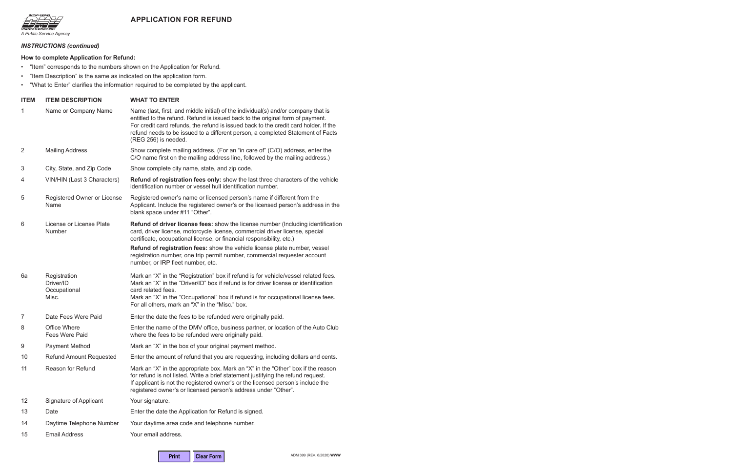



#### *INSTRUCTIONS (continued)*

#### **How to complete Application for Refund:**

- "Item" corresponds to the numbers shown on the Application for Refund.
- "Item Description" is the same as indicated on the application form.
- "What to Enter" clarifies the information required to be completed by the applicant.

| <b>ITEM</b>    | <b>ITEM DESCRIPTION</b>                            | <b>WHAT TO ENTER</b>                                                                                                                                                                                                                                                                                                                                                    |
|----------------|----------------------------------------------------|-------------------------------------------------------------------------------------------------------------------------------------------------------------------------------------------------------------------------------------------------------------------------------------------------------------------------------------------------------------------------|
| 1              | Name or Company Name                               | Name (last, first, and middle initial) of the individual(s) and/or company that is<br>entitled to the refund. Refund is issued back to the original form of payment.<br>For credit card refunds, the refund is issued back to the credit card holder. If the<br>refund needs to be issued to a different person, a completed Statement of Facts<br>(REG 256) is needed. |
| $\overline{2}$ | <b>Mailing Address</b>                             | Show complete mailing address. (For an "in care of" (C/O) address, enter the<br>C/O name first on the mailing address line, followed by the mailing address.)                                                                                                                                                                                                           |
| 3              | City, State, and Zip Code                          | Show complete city name, state, and zip code.                                                                                                                                                                                                                                                                                                                           |
| 4              | VIN/HIN (Last 3 Characters)                        | Refund of registration fees only: show the last three characters of the vehicle<br>identification number or vessel hull identification number.                                                                                                                                                                                                                          |
| 5              | Registered Owner or License<br>Name                | Registered owner's name or licensed person's name if different from the<br>Applicant. Include the registered owner's or the licensed person's address in the<br>blank space under #11 "Other".                                                                                                                                                                          |
| 6              | License or License Plate<br><b>Number</b>          | Refund of driver license fees: show the license number (Including identification<br>card, driver license, motorcycle license, commercial driver license, special<br>certificate, occupational license, or financial responsibility, etc.)                                                                                                                               |
|                |                                                    | Refund of registration fees: show the vehicle license plate number, vessel<br>registration number, one trip permit number, commercial requester account<br>number, or IRP fleet number, etc.                                                                                                                                                                            |
| 6a             | Registration<br>Driver/ID<br>Occupational<br>Misc. | Mark an "X" in the "Registration" box if refund is for vehicle/vessel related fees.<br>Mark an "X" in the "Driver/ID" box if refund is for driver license or identification<br>card related fees.<br>Mark an "X" in the "Occupational" box if refund is for occupational license fees.<br>For all others, mark an "X" in the "Misc." box.                               |
| 7              | Date Fees Were Paid                                | Enter the date the fees to be refunded were originally paid.                                                                                                                                                                                                                                                                                                            |
| 8              | <b>Office Where</b><br>Fees Were Paid              | Enter the name of the DMV office, business partner, or location of the Auto Club<br>where the fees to be refunded were originally paid.                                                                                                                                                                                                                                 |
| 9              | <b>Payment Method</b>                              | Mark an "X" in the box of your original payment method.                                                                                                                                                                                                                                                                                                                 |
| 10             | <b>Refund Amount Requested</b>                     | Enter the amount of refund that you are requesting, including dollars and cents.                                                                                                                                                                                                                                                                                        |
| 11             | Reason for Refund                                  | Mark an "X" in the appropriate box. Mark an "X" in the "Other" box if the reason<br>for refund is not listed. Write a brief statement justifying the refund request.<br>If applicant is not the registered owner's or the licensed person's include the<br>registered owner's or licensed person's address under "Other".                                               |
| 12             | Signature of Applicant                             | Your signature.                                                                                                                                                                                                                                                                                                                                                         |
| 13             | Date                                               | Enter the date the Application for Refund is signed.                                                                                                                                                                                                                                                                                                                    |
| 14             | Daytime Telephone Number                           | Your daytime area code and telephone number.                                                                                                                                                                                                                                                                                                                            |
| 15             | <b>Email Address</b>                               | Your email address.                                                                                                                                                                                                                                                                                                                                                     |